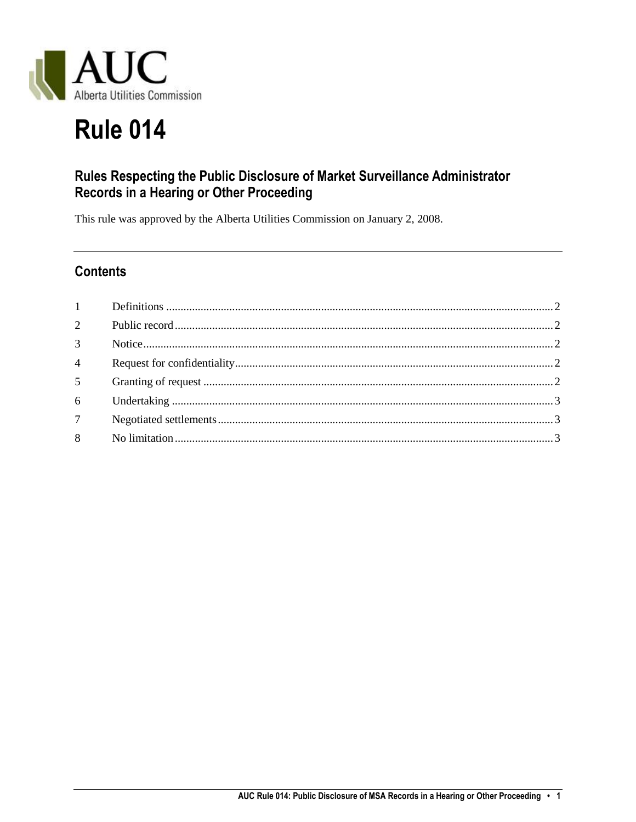

# **Rule 014**

## Rules Respecting the Public Disclosure of Market Surveillance Administrator Records in a Hearing or Other Proceeding

This rule was approved by the Alberta Utilities Commission on January 2, 2008.

## **Contents**

| 3 <sup>1</sup> |  |
|----------------|--|
| $\overline{4}$ |  |
| 5 <sup>5</sup> |  |
|                |  |
| 7 <sup>7</sup> |  |
| 8              |  |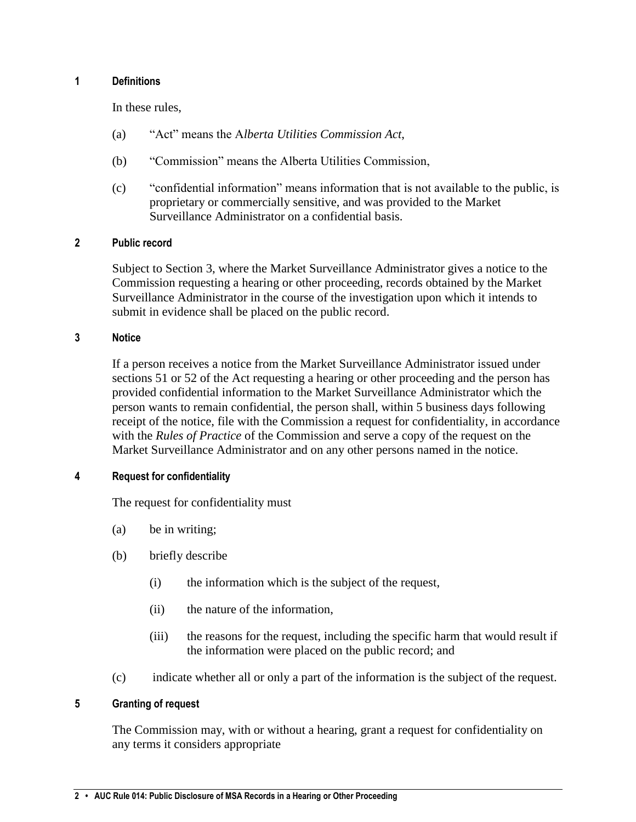#### <span id="page-1-0"></span>**1 Definitions**

In these rules,

- (a) "Act" means the A*lberta Utilities Commission Act*,
- (b) "Commission" means the Alberta Utilities Commission,
- (c) "confidential information" means information that is not available to the public, is proprietary or commercially sensitive, and was provided to the Market Surveillance Administrator on a confidential basis.

#### <span id="page-1-1"></span>**2 Public record**

Subject to Section 3, where the Market Surveillance Administrator gives a notice to the Commission requesting a hearing or other proceeding, records obtained by the Market Surveillance Administrator in the course of the investigation upon which it intends to submit in evidence shall be placed on the public record.

#### <span id="page-1-2"></span>**3 Notice**

If a person receives a notice from the Market Surveillance Administrator issued under sections 51 or 52 of the Act requesting a hearing or other proceeding and the person has provided confidential information to the Market Surveillance Administrator which the person wants to remain confidential, the person shall, within 5 business days following receipt of the notice, file with the Commission a request for confidentiality, in accordance with the *Rules of Practice* of the Commission and serve a copy of the request on the Market Surveillance Administrator and on any other persons named in the notice.

#### <span id="page-1-3"></span>**4 Request for confidentiality**

The request for confidentiality must

- (a) be in writing;
- (b) briefly describe
	- (i) the information which is the subject of the request,
	- (ii) the nature of the information,
	- (iii) the reasons for the request, including the specific harm that would result if the information were placed on the public record; and
- (c) indicate whether all or only a part of the information is the subject of the request.

#### <span id="page-1-4"></span>**5 Granting of request**

The Commission may, with or without a hearing, grant a request for confidentiality on any terms it considers appropriate